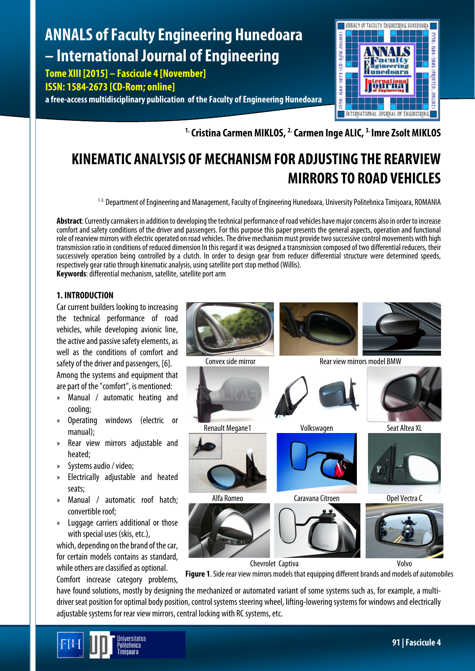# **ANNALS of Faculty Engineering Hunedoara – International Journal of Engineering**

**Tome XIII [2015] – Fascicule 4 [November]**

**ISSN: 1584-2673 [CD-Rom; online]**

**a free-access multidisciplinary publication of the Faculty of Engineering Hunedoara**



**1.Cristina Carmen MIKLOS, 2.Carmen Inge ALIC, 3. Imre Zsolt MIKLOS**

# **KINEMATIC ANALYSIS OF MECHANISM FOR ADJUSTING THE REARVIEW MIRRORS TO ROAD VEHICLES**

1-3. Department of Engineering and Management, Faculty of Engineering Hunedoara, University Politehnica Timişoara, ROMANIA

**Abstract**: Currently carmakers in addition to developing the technical performance of road vehicles have major concerns also in order toincrease comfort and safety conditions of the driver and passengers. For this purpose this paper presents the general aspects, operation and functional role of rearview mirrors with electric operated on road vehicles. The drive mechanism must provide two successive control movements with high transmission ratio in conditions of reduced dimension In this regard it was designed a transmission composed of two differential reducers, their successively operation being controlled by a clutch. In order to design gear from reducer differential structure were determined speeds, respectively gear ratio through kinematic analysis, using satellite port stop method (Willis). **Keywords**: differential mechanism, satellite, satellite port arm

## **1. INTRODUCTION**

Car current builders looking to increasing the technical performance of road vehicles, while developing avionic line, the active and passive safety elements, as well as the conditions of comfort and safety of the driver and passengers, [6]. Among the systems and equipment that are part of the "comfort", is mentioned:

- » Manual / automatic heating and cooling;
- » Operating windows (electric or manual);
- » Rear view mirrors adjustable and heated;
- » Systems audio / video;
- » Electrically adjustable and heated seats;
- » Manual / automatic roof hatch; convertible roof;
- » Luggage carriers additional or those with special uses (skis, etc.),

which, depending on the brand of the car, for certain models contains as standard, while others are classified as optional.

Comfort increase category problems,



**Figure 1**. Side rear view mirrors models that equipping different brands and models of automobiles

have found solutions, mostly by designing the mechanized or automated variant of some systems such as, for example, a multidriver seat position for optimal body position, control systems steering wheel, lifting-lowering systems for windows and electrically adjustable systems for rear view mirrors, central locking with RC systems, etc.

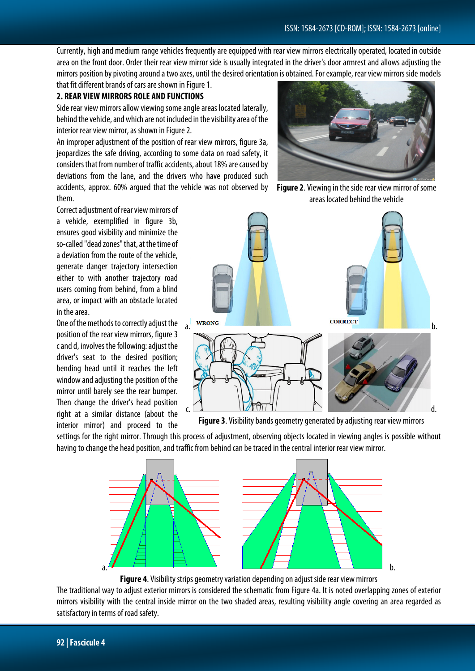Currently, high and medium range vehicles frequently are equipped with rear view mirrors electrically operated, located in outside area on the front door. Order their rear view mirror side is usually integrated in the driver's door armrest and allows adjusting the mirrors position by pivoting around a two axes, until the desired orientation is obtained. For example, rear view mirrors side models that fit different brands of cars are shown in Figure 1.

#### **2. REAR VIEW MIRRORS ROLE AND FUNCTIONS**

Side rear view mirrors allow viewing some angle areas located laterally, behind the vehicle, and which are not included in the visibility area of the interior rear view mirror, as shown in Figure 2.

An improper adjustment of the position of rear view mirrors, figure 3a, jeopardizes the safe driving, according to some data on road safety, it considers that from number of traffic accidents, about 18% are caused by deviations from the lane, and the drivers who have produced such accidents, approx. 60% argued that the vehicle was not observed by them.

Correct adjustment of rear view mirrors of a vehicle, exemplified in figure 3b, ensures good visibility and minimize the so-called "dead zones" that, at the time of a deviation from the route of the vehicle, generate danger trajectory intersection either to with another trajectory road users coming from behind, from a blind area, or impact with an obstacle located in the area.

One of the methods to correctly adjust the position of the rear view mirrors, figure 3 c and d, involves the following: adjust the driver's seat to the desired position; bending head until it reaches the left window and adjusting the position of the mirror until barely see the rear bumper. Then change the driver's head position right at a similar distance (about the interior mirror) and proceed to the

**Figure 2**. Viewing in the side rear view mirror of some areas located behind the vehicle



**Figure 3**. Visibility bands geometry generated by adjusting rear view mirrors

settings for the right mirror. Through this process of adjustment, observing objects located in viewing angles is possible without having to change the head position, and traffic from behind can be traced in the central interior rear view mirror.



**Figure 4**. Visibility strips geometry variation depending on adjust side rear view mirrors

The traditional way to adjust exterior mirrors is considered the schematic from Figure 4a. It is noted overlapping zones of exterior mirrors visibility with the central inside mirror on the two shaded areas, resulting visibility angle covering an area regarded as satisfactory in terms of road safety.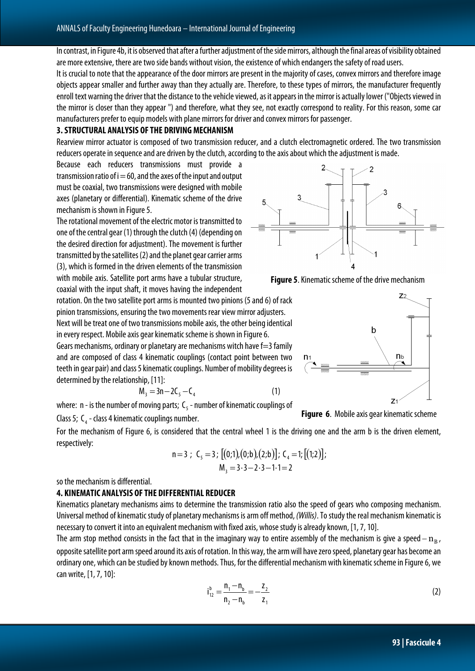In contrast, in Figure 4b, it is observed that after a further adjustment of the side mirrors, although the final areas of visibility obtained are more extensive, there are two side bands without vision, the existence of which endangers the safety of road users.

It is crucial to note that the appearance of the door mirrors are present in the majority of cases, convex mirrors and therefore image objects appear smaller and further away than they actually are. Therefore, to these types of mirrors, the manufacturer frequently enroll text warning the driver that the distance to the vehicle viewed, as it appears in the mirror is actually lower ("Objects viewed in the mirror is closer than they appear ") and therefore, what they see, not exactly correspond to reality. For this reason, some car manufacturers prefer to equip models with plane mirrors for driver and convex mirrors for passenger.

#### **3. STRUCTURAL ANALYSIS OF THE DRIVING MECHANISM**

Rearview mirror actuator is composed of two transmission reducer, and a clutch electromagnetic ordered. The two transmission reducers operate in sequence and are driven by the clutch, according to the axis about which the adjustment is made.

Because each reducers transmissions must provide a transmission ratio of  $i = 60$ , and the axes of the input and output must be coaxial, two transmissions were designed with mobile axes (planetary or differential). Kinematic scheme of the drive mechanism is shown in Figure 5.

The rotational movement of the electric motor is transmitted to one of the central gear (1) through the clutch (4) (depending on the desired direction for adjustment). The movement is further transmitted by the satellites (2) and the planet gear carrier arms (3), which is formed in the driven elements of the transmission with mobile axis. Satellite port arms have a tubular structure, coaxial with the input shaft, it moves having the independent

rotation. On the two satellite port arms is mounted two pinions (5 and 6) of rack pinion transmissions, ensuring the two movements rear view mirror adjusters. Next will be treat one of two transmissions mobile axis, the other being identical in every respect. Mobile axis gear kinematic scheme is shown in Figure 6. Gears mechanisms, ordinary or planetary are mechanisms witch have f=3 family and are composed of class 4 kinematic couplings (contact point between two teeth in gear pair) and class 5 kinematic couplings. Number of mobility degrees is determined by the relationship, [11]:

$$
M_3 = 3n - 2C_5 - C_4 \tag{1}
$$

where:  $n -$  is the number of moving parts;  $C_s$  - number of kinematic couplings of

Class 5;  $C_4$  - class 4 kinematic couplings number.

For the mechanism of Figure 6, is considered that the central wheel 1 is the driving one and the arm b is the driven element, respectively:

n=3 ; 
$$
C_5 = 3
$$
; [(0;1), (0;b), (2;b)];  $C_4 = 1$ ; [(1;2)];  
\n $M_3 = 3 \cdot 3 - 2 \cdot 3 - 1 \cdot 1 = 2$ 

so the mechanism is differential.

#### **4. KINEMATIC ANALYSIS OF THE DIFFERENTIAL REDUCER**

Kinematics planetary mechanisms aims to determine the transmission ratio also the speed of gears who composing mechanism. Universal method of kinematic study of planetary mechanisms is arm off method, *(Willis)*. To study the real mechanism kinematic is necessary to convert it into an equivalent mechanism with fixed axis, whose study is already known, [1, 7, 10].

The arm stop method consists in the fact that in the imaginary way to entire assembly of the mechanism is give a speed  $- n_B$ , opposite satellite port arm speed around its axis of rotation. In this way, the arm will have zero speed, planetary gear has become an ordinary one, which can be studied by known methods. Thus, for the differential mechanism with kinematic scheme in Figure 6, we can write, [1, 7, 10]:

$$
i_{12}^{b} = \frac{n_1 - n_b}{n_2 - n_b} = -\frac{z_2}{z_1}
$$
 (2)







**Figure 6**. Mobile axis gear kinematic scheme